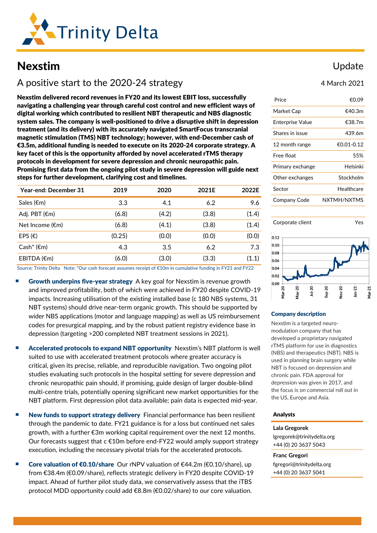

# Nexstim

# A positive start to the 2020-24 strategy

Nexstim delivered record revenues in FY20 and its lowest EBIT loss, successfully navigating a challenging year through careful cost control and new efficient ways of digital working which contributed to resilient NBT therapeutic and NBS diagnostic system sales. The company is well-positioned to drive a disruptive shift in depression treatment (and its delivery) with its accurately navigated SmartFocus transcranial magnetic stimulation (TMS) NBT technology; however, with end-December cash of €3.5m, additional funding is needed to execute on its 2020-24 corporate strategy. A key facet of this is the opportunity afforded by novel accelerated rTMS therapy protocols in development for severe depression and chronic neuropathic pain. Promising first data from the ongoing pilot study in severe depression will guide next steps for further development, clarifying cost and timelines.

| 2019   | 2020  | 2021E | 2022E |
|--------|-------|-------|-------|
| 3.3    | 4.1   | 6.2   | 9.6   |
| (6.8)  | (4.2) | (3.8) | (1.4) |
| (6.8)  | (4.1) | (3.8) | (1.4) |
| (0.25) | (0.0) | (0.0) | (0.0) |
| 4.3    | 3.5   | 6.2   | 7.3   |
| (6.0)  | (3.0) | (3.3) | (1.1) |
|        |       |       |       |

Source: Trinity Delta Note: \*Our cash forecast assumes receipt of €10m in cumulative funding in FY21 and FY22

- **Growth underpins five-year strategy** A key goal for Nexstim is revenue growth and improved profitability, both of which were achieved in FY20 despite COVID-19 impacts. Increasing utilisation of the existing installed base (c 180 NBS systems, 31 NBT systems) should drive near-term organic growth. This should be supported by wider NBS applications (motor and language mapping) as well as US reimbursement codes for presurgical mapping, and by the robust patient registry evidence base in depression (targeting >200 completed NBT treatment sessions in 2021).
- Accelerated protocols to expand NBT opportunity Nexstim's NBT platform is well suited to use with accelerated treatment protocols where greater accuracy is critical, given its precise, reliable, and reproducible navigation. Two ongoing pilot studies evaluating such protocols in the hospital setting for severe depression and chronic neuropathic pain should, if promising, guide design of larger double-blind multi-centre trials, potentially opening significant new market opportunities for the NBT platform. First depression pilot data available; pain data is expected mid-year.
- New funds to support strategy delivery Financial performance has been resilient through the pandemic to date. FY21 guidance is for a loss but continued net sales growth, with a further €3m working capital requirement over the next 12 months. Our forecasts suggest that  $c \in 10$ m before end-FY22 would amply support strategy execution, including the necessary pivotal trials for the accelerated protocols.
- Core valuation of €0.10/share Our rNPV valuation of  $€44.2m$  (€0.10/share), up from €38.4m (€0.09/share), reflects strategic delivery in FY20 despite COVID-19 impact. Ahead of further pilot study data, we conservatively assess that the iTBS protocol MDD opportunity could add €8.8m (€0.02/share) to our core valuation.

### Update

4 March 2021

| Price                   | €0.09       |
|-------------------------|-------------|
| Market Cap              | €40.3m      |
| <b>Enterprise Value</b> | €38.7m      |
| Shares in issue         | 439.6m      |
| 12 month range          | €0.01-0.12  |
| Free float              | 55%         |
| Primary exchange        | Helsinki    |
| Other exchanges         | Stockholm   |
| Sector                  | Healthcare  |
| Company Code            | NXTMH/NXTMS |



#### Company description

Nexstim is a targeted neuromodulation company that has developed a proprietary navigated rTMS platform for use in diagnostics (NBS) and therapeutics (NBT). NBS is used in planning brain surgery while NBT is focused on depression and chronic pain. FDA approval for depression was given in 2017, and the focus is on commercial roll out in the US, Europe and Asia.

#### Analysts

**Lala Gregorek** [lgregorek@trinitydelta.org](mailto:lgregorek@trinitydelta.org) +44 (0) 20 3637 5043

**Franc Gregori** [fgregori@trinitydelta.org](mailto:fgregori@trinitydelta.org) +44 (0) 20 3637 5041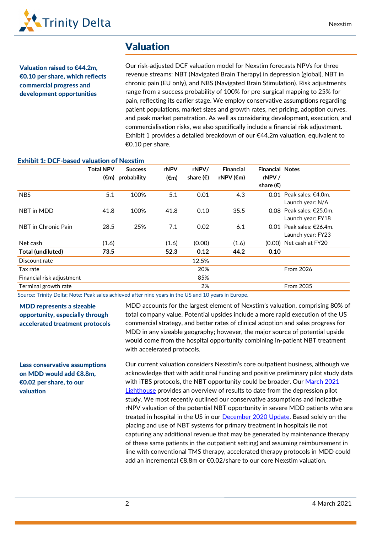

## Valuation

Valuation raised to €44.2m, €0.10 per share, which reflects commercial progress and development opportunities

Our risk-adjusted DCF valuation model for Nexstim forecasts NPVs for three revenue streams: NBT (Navigated Brain Therapy) in depression (global), NBT in chronic pain (EU only), and NBS (Navigated Brain Stimulation). Risk adjustments range from a success probability of 100% for pre-surgical mapping to 25% for pain, reflecting its earlier stage. We employ conservative assumptions regarding patient populations, market sizes and growth rates, net pricing, adoption curves, and peak market penetration. As well as considering development, execution, and commercialisation risks, we also specifically include a financial risk adjustment. Exhibit 1 provides a detailed breakdown of our €44.2m valuation, equivalent to €0.10 per share.

| <u>EXIIIDIL 1. DUF-DASEU VAIUAUUII OI INEXSUIII</u> |                  |                |                |                    |                     |                        |                             |
|-----------------------------------------------------|------------------|----------------|----------------|--------------------|---------------------|------------------------|-----------------------------|
|                                                     | <b>Total NPV</b> | <b>Success</b> | rNPV           | rNPV/              | <b>Financial</b>    | <b>Financial Notes</b> |                             |
|                                                     | $(\epsilon m)$   | probability    | $(\epsilon m)$ | share $(\epsilon)$ | rNPV $(\epsilon m)$ | rNPV /                 |                             |
|                                                     |                  |                |                |                    |                     | share $(\epsilon)$     |                             |
| <b>NBS</b>                                          | 5.1              | 100%           | 5.1            | 0.01               | 4.3                 |                        | 0.01 Peak sales: $€4.0m$ .  |
|                                                     |                  |                |                |                    |                     |                        | Launch year: N/A            |
| NBT in MDD                                          | 41.8             | 100%           | 41.8           | 0.10               | 35.5                |                        | 0.08 Peak sales: $£25.0m$ . |
|                                                     |                  |                |                |                    |                     |                        | Launch year: FY18           |
| NBT in Chronic Pain                                 | 28.5             | 25%            | 7.1            | 0.02               | 6.1                 | 0.01                   | Peak sales: €26.4m.         |
|                                                     |                  |                |                |                    |                     |                        | Launch year: FY23           |
| Net cash                                            | (1.6)            |                | (1.6)          | (0.00)             | (1.6)               |                        | $(0.00)$ Net cash at FY20   |
| Total (undiluted)                                   | 73.5             |                | 52.3           | 0.12               | 44.2                | 0.10                   |                             |
| Discount rate                                       |                  |                |                | 12.5%              |                     |                        |                             |
| Tax rate                                            |                  |                |                | 20%                |                     |                        | <b>From 2026</b>            |
| Financial risk adjustment                           |                  |                |                | 85%                |                     |                        |                             |
| Terminal growth rate                                |                  |                |                | 2%                 |                     |                        | <b>From 2035</b>            |

#### Exhibit 1: DCF-based valuation of Nexstim

Source: Trinity Delta; Note: Peak sales achieved after nine years in the US and 10 years in Europe.

### MDD represents a sizeable opportunity, especially through accelerated treatment protocols

Less conservative assumptions on MDD would add €8.8m, €0.02 per share, to our

valuation

total company value. Potential upsides include a more rapid execution of the US commercial strategy, and better rates of clinical adoption and sales progress for MDD in any sizeable geography; however, the major source of potential upside would come from the hospital opportunity combining in-patient NBT treatment with accelerated protocols.

MDD accounts for the largest element of Nexstim's valuation, comprising 80% of

Our current valuation considers Nexstim's core outpatient business, although we acknowledge that with additional funding and positive preliminary pilot study data with iTBS protocols, the NBT opportunity could be broader. Our March 2021 [Lighthouse](https://www.trinitydelta.org/research-notes/promising-results-for-severe-depression-pilot-study/) provides an overview of results to date from the depression pilot study. We most recently outlined our conservative assumptions and indicative rNPV valuation of the potential NBT opportunity in severe MDD patients who are treated in hospital in the US in our **December 2020 Update**. Based solely on the placing and use of NBT systems for primary treatment in hospitals (ie not capturing any additional revenue that may be generated by maintenance therapy of these same patients in the outpatient setting) and assuming reimbursement in line with conventional TMS therapy, accelerated therapy protocols in MDD could add an incremental €8.8m or €0.02/share to our core Nexstim valuation.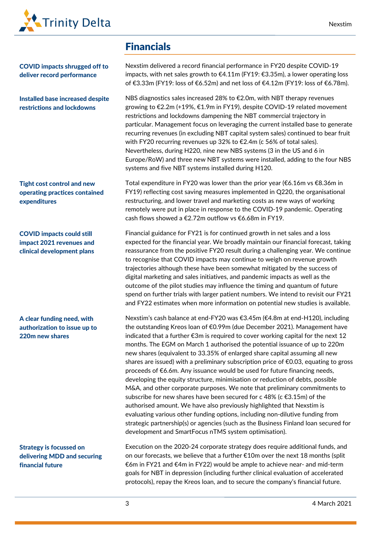

COVID impacts shrugged off to deliver record performance

Installed base increased despite restrictions and lockdowns

Tight cost control and new operating practices contained expenditures

COVID impacts could still impact 2021 revenues and clinical development plans

A clear funding need, with authorization to issue up to 220m new shares

Strategy is focussed on delivering MDD and securing financial future

## Financials

Nexstim delivered a record financial performance in FY20 despite COVID-19 impacts, with net sales growth to  $E4.11$ m (FY19:  $E3.35$ m), a lower operating loss of €3.33m (FY19: loss of €6.52m) and net loss of €4.12m (FY19: loss of €6.78m).

NBS diagnostics sales increased 28% to €2.0m, with NBT therapy revenues growing to €2.2m (+19%, €1.9m in FY19), despite COVID-19 related movement restrictions and lockdowns dampening the NBT commercial trajectory in particular. Management focus on leveraging the current installed base to generate recurring revenues (in excluding NBT capital system sales) continued to bear fruit with FY20 recurring revenues up 32% to €2.4m (c 56% of total sales). Nevertheless, during H220, nine new NBS systems (3 in the US and 6 in Europe/RoW) and three new NBT systems were installed, adding to the four NBS systems and five NBT systems installed during H120.

Total expenditure in FY20 was lower than the prior year (€6.16m vs €8.36m in FY19) reflecting cost saving measures implemented in Q220, the organisational restructuring, and lower travel and marketing costs as new ways of working remotely were put in place in response to the COVID-19 pandemic. Operating cash flows showed a €2.72m outflow vs €6.68m in FY19.

Financial guidance for FY21 is for continued growth in net sales and a loss expected for the financial year. We broadly maintain our financial forecast, taking reassurance from the positive FY20 result during a challenging year. We continue to recognise that COVID impacts may continue to weigh on revenue growth trajectories although these have been somewhat mitigated by the success of digital marketing and sales initiatives, and pandemic impacts as well as the outcome of the pilot studies may influence the timing and quantum of future spend on further trials with larger patient numbers. We intend to revisit our FY21 and FY22 estimates when more information on potential new studies is available.

Nexstim's cash balance at end-FY20 was €3.45m (€4.8m at end-H120), including the outstanding Kreos loan of €0.99m (due December 2021). Management have indicated that a further €3m is required to cover working capital for the next 12 months. The EGM on March 1 authorised the potential issuance of up to 220m new shares (equivalent to 33.35% of enlarged share capital assuming all new shares are issued) with a preliminary subscription price of €0.03, equating to gross proceeds of €6.6m. Any issuance would be used for future financing needs, developing the equity structure, minimisation or reduction of debts, possible M&A, and other corporate purposes. We note that preliminary commitments to subscribe for new shares have been secured for c 48% (c  $\epsilon$ 3.15m) of the authorised amount. We have also previously highlighted that Nexstim is evaluating various other funding options, including non-dilutive funding from strategic partnership(s) or agencies (such as the Business Finland loan secured for development and SmartFocus nTMS system optimisation).

Execution on the 2020-24 corporate strategy does require additional funds, and on our forecasts, we believe that a further €10m over the next 18 months (split €6m in FY21 and €4m in FY22) would be ample to achieve near- and mid-term goals for NBT in depression (including further clinical evaluation of accelerated protocols), repay the Kreos loan, and to secure the company's financial future.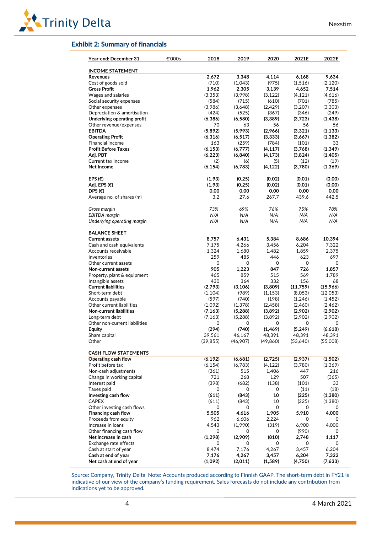

### Exhibit 2: Summary of financials

| <b>INCOME STATEMENT</b><br>Revenues<br>Cost of goods sold<br><b>Gross Profit</b><br><b>Wages and salaries</b><br>Social security expenses<br>Other expenses<br>Depreciation & amortisation<br>Underlying operating profit<br>Other revenue/expenses<br><b>EBITDA</b><br><b>Operating Profit</b><br><b>Financial income</b><br><b>Profit Before Taxes</b><br>Adj. PBT<br>Current tax income<br>Net Income<br>EPS $(\epsilon)$<br>Adj. EPS $(\epsilon)$<br>DPS $(\epsilon)$<br>Average no. of shares (m)<br>Gross margin<br><b>EBITDA</b> margin<br>Underlying operating margin<br><b>BALANCE SHEET</b><br><b>Current assets</b><br>Cash and cash equivalents<br>Accounts receivable<br>Inventories<br>Other current assets<br>Non-current assets<br>Property, plant & equipment<br>Intangible assets<br><b>Current liabilities</b><br>Short-term debt<br>Accounts payable<br>Other current liabilities<br><b>Non-current liabilities</b><br>Long-term debt<br>Other non-current liabilities<br>Equity<br>Share capital<br>39,561<br>Other<br>(39, 855)<br><b>CASH FLOW STATEMENTS</b><br>(6, 192)<br>Operating cash flow<br>(6, 154)<br>Profit before tax<br>Non-cash adjustments<br>Change in working capital<br>Interest paid<br>Taxes paid | 2,672<br>(710)<br>1,962<br>(3,353)<br>(584)<br>(3,986)<br>(424)<br>(6, 386)<br>70<br>(5,892)<br>(6, 316)<br>163<br>(6, 153)<br>(6, 223)<br>(2)<br>(6, 154)<br>(1.93)<br>(1.93)<br>0.00<br>3.2<br>73%<br>N/A<br>N/A<br>8,757<br>7,175<br>1,324<br>259<br>0<br>905<br>465<br>430<br>(2,793)<br>(1, 104)<br>(597)<br>(1,092)<br>(7, 163)<br>(7, 163)<br>0<br>(294) | 3,348<br>(1,043)<br>2,305<br>(3,998)<br>(715)<br>(3,648)<br>(525)<br>(6,580)<br>63<br>(5,993)<br>(6, 517)<br>(259)<br>(6,777)<br>(6, 840)<br>(6)<br>(6,783)<br>(0.25)<br>(0.25)<br>0.00<br>27.6<br>69%<br>N/A<br>N/A<br>6,431<br>4,266<br>1,680<br>485<br>0<br>1,223<br>859<br>364<br>(3, 106)<br>(989)<br>(740)<br>(1, 378)<br>(5,288)<br>(5,288)<br>0 | 4,114<br>(975)<br>3,139<br>(3, 122)<br>(610)<br>(2,429)<br>(367)<br>(3,389)<br>56<br>(2,966)<br>(3, 333)<br>(784)<br>(4, 117)<br>(4, 173)<br>(5)<br>(4, 122)<br>(0.02)<br>(0.02)<br>0.00<br>267.7<br>76%<br>N/A<br>N/A<br>5,384<br>3,456<br>1,482<br>446<br>0<br>847<br>515<br>332<br>(3,809)<br>(1, 153)<br>(198)<br>(2, 458)<br>(3,892) | 6,168<br>(1,516)<br>4,652<br>(4, 121)<br>(701)<br>(3,207)<br>(346)<br>(3,723)<br>56<br>(3, 321)<br>(3,667)<br>(101)<br>(3,768)<br>(3,824)<br>(12)<br>(3,780)<br>(0.01)<br>(0.01)<br>0.00<br>439.6<br>75%<br>N/A<br>N/A<br>8,686<br>6,204<br>1,859<br>623<br>0<br>726<br>569<br>156<br>(11,759)<br>(8,053)<br>(1,246)<br>(2,460)<br>(2,902) |                                                                                                                                                   |
|----------------------------------------------------------------------------------------------------------------------------------------------------------------------------------------------------------------------------------------------------------------------------------------------------------------------------------------------------------------------------------------------------------------------------------------------------------------------------------------------------------------------------------------------------------------------------------------------------------------------------------------------------------------------------------------------------------------------------------------------------------------------------------------------------------------------------------------------------------------------------------------------------------------------------------------------------------------------------------------------------------------------------------------------------------------------------------------------------------------------------------------------------------------------------------------------------------------------------------------------|-----------------------------------------------------------------------------------------------------------------------------------------------------------------------------------------------------------------------------------------------------------------------------------------------------------------------------------------------------------------|---------------------------------------------------------------------------------------------------------------------------------------------------------------------------------------------------------------------------------------------------------------------------------------------------------------------------------------------------------|-------------------------------------------------------------------------------------------------------------------------------------------------------------------------------------------------------------------------------------------------------------------------------------------------------------------------------------------|--------------------------------------------------------------------------------------------------------------------------------------------------------------------------------------------------------------------------------------------------------------------------------------------------------------------------------------------|---------------------------------------------------------------------------------------------------------------------------------------------------|
|                                                                                                                                                                                                                                                                                                                                                                                                                                                                                                                                                                                                                                                                                                                                                                                                                                                                                                                                                                                                                                                                                                                                                                                                                                              |                                                                                                                                                                                                                                                                                                                                                                 |                                                                                                                                                                                                                                                                                                                                                         |                                                                                                                                                                                                                                                                                                                                           |                                                                                                                                                                                                                                                                                                                                            | (2, 120)<br>(4,616)                                                                                                                               |
|                                                                                                                                                                                                                                                                                                                                                                                                                                                                                                                                                                                                                                                                                                                                                                                                                                                                                                                                                                                                                                                                                                                                                                                                                                              |                                                                                                                                                                                                                                                                                                                                                                 |                                                                                                                                                                                                                                                                                                                                                         |                                                                                                                                                                                                                                                                                                                                           |                                                                                                                                                                                                                                                                                                                                            |                                                                                                                                                   |
|                                                                                                                                                                                                                                                                                                                                                                                                                                                                                                                                                                                                                                                                                                                                                                                                                                                                                                                                                                                                                                                                                                                                                                                                                                              |                                                                                                                                                                                                                                                                                                                                                                 |                                                                                                                                                                                                                                                                                                                                                         |                                                                                                                                                                                                                                                                                                                                           |                                                                                                                                                                                                                                                                                                                                            |                                                                                                                                                   |
|                                                                                                                                                                                                                                                                                                                                                                                                                                                                                                                                                                                                                                                                                                                                                                                                                                                                                                                                                                                                                                                                                                                                                                                                                                              |                                                                                                                                                                                                                                                                                                                                                                 |                                                                                                                                                                                                                                                                                                                                                         |                                                                                                                                                                                                                                                                                                                                           |                                                                                                                                                                                                                                                                                                                                            | (3, 303)                                                                                                                                          |
|                                                                                                                                                                                                                                                                                                                                                                                                                                                                                                                                                                                                                                                                                                                                                                                                                                                                                                                                                                                                                                                                                                                                                                                                                                              |                                                                                                                                                                                                                                                                                                                                                                 |                                                                                                                                                                                                                                                                                                                                                         |                                                                                                                                                                                                                                                                                                                                           |                                                                                                                                                                                                                                                                                                                                            |                                                                                                                                                   |
|                                                                                                                                                                                                                                                                                                                                                                                                                                                                                                                                                                                                                                                                                                                                                                                                                                                                                                                                                                                                                                                                                                                                                                                                                                              |                                                                                                                                                                                                                                                                                                                                                                 |                                                                                                                                                                                                                                                                                                                                                         |                                                                                                                                                                                                                                                                                                                                           |                                                                                                                                                                                                                                                                                                                                            | (1, 438)<br>(1, 133)<br>(1, 382)<br>(1, 349)<br>(1, 405)<br>(1,369)<br>10,394<br>2,375<br>(15,966)<br>(12,053)<br>(1, 452)<br>(2, 462)<br>(2,902) |
|                                                                                                                                                                                                                                                                                                                                                                                                                                                                                                                                                                                                                                                                                                                                                                                                                                                                                                                                                                                                                                                                                                                                                                                                                                              |                                                                                                                                                                                                                                                                                                                                                                 |                                                                                                                                                                                                                                                                                                                                                         |                                                                                                                                                                                                                                                                                                                                           |                                                                                                                                                                                                                                                                                                                                            |                                                                                                                                                   |
|                                                                                                                                                                                                                                                                                                                                                                                                                                                                                                                                                                                                                                                                                                                                                                                                                                                                                                                                                                                                                                                                                                                                                                                                                                              |                                                                                                                                                                                                                                                                                                                                                                 |                                                                                                                                                                                                                                                                                                                                                         |                                                                                                                                                                                                                                                                                                                                           |                                                                                                                                                                                                                                                                                                                                            |                                                                                                                                                   |
|                                                                                                                                                                                                                                                                                                                                                                                                                                                                                                                                                                                                                                                                                                                                                                                                                                                                                                                                                                                                                                                                                                                                                                                                                                              |                                                                                                                                                                                                                                                                                                                                                                 |                                                                                                                                                                                                                                                                                                                                                         |                                                                                                                                                                                                                                                                                                                                           |                                                                                                                                                                                                                                                                                                                                            |                                                                                                                                                   |
|                                                                                                                                                                                                                                                                                                                                                                                                                                                                                                                                                                                                                                                                                                                                                                                                                                                                                                                                                                                                                                                                                                                                                                                                                                              |                                                                                                                                                                                                                                                                                                                                                                 |                                                                                                                                                                                                                                                                                                                                                         |                                                                                                                                                                                                                                                                                                                                           |                                                                                                                                                                                                                                                                                                                                            |                                                                                                                                                   |
|                                                                                                                                                                                                                                                                                                                                                                                                                                                                                                                                                                                                                                                                                                                                                                                                                                                                                                                                                                                                                                                                                                                                                                                                                                              |                                                                                                                                                                                                                                                                                                                                                                 |                                                                                                                                                                                                                                                                                                                                                         |                                                                                                                                                                                                                                                                                                                                           |                                                                                                                                                                                                                                                                                                                                            |                                                                                                                                                   |
|                                                                                                                                                                                                                                                                                                                                                                                                                                                                                                                                                                                                                                                                                                                                                                                                                                                                                                                                                                                                                                                                                                                                                                                                                                              |                                                                                                                                                                                                                                                                                                                                                                 |                                                                                                                                                                                                                                                                                                                                                         |                                                                                                                                                                                                                                                                                                                                           |                                                                                                                                                                                                                                                                                                                                            |                                                                                                                                                   |
|                                                                                                                                                                                                                                                                                                                                                                                                                                                                                                                                                                                                                                                                                                                                                                                                                                                                                                                                                                                                                                                                                                                                                                                                                                              |                                                                                                                                                                                                                                                                                                                                                                 |                                                                                                                                                                                                                                                                                                                                                         |                                                                                                                                                                                                                                                                                                                                           |                                                                                                                                                                                                                                                                                                                                            |                                                                                                                                                   |
|                                                                                                                                                                                                                                                                                                                                                                                                                                                                                                                                                                                                                                                                                                                                                                                                                                                                                                                                                                                                                                                                                                                                                                                                                                              |                                                                                                                                                                                                                                                                                                                                                                 |                                                                                                                                                                                                                                                                                                                                                         |                                                                                                                                                                                                                                                                                                                                           |                                                                                                                                                                                                                                                                                                                                            |                                                                                                                                                   |
|                                                                                                                                                                                                                                                                                                                                                                                                                                                                                                                                                                                                                                                                                                                                                                                                                                                                                                                                                                                                                                                                                                                                                                                                                                              |                                                                                                                                                                                                                                                                                                                                                                 |                                                                                                                                                                                                                                                                                                                                                         |                                                                                                                                                                                                                                                                                                                                           |                                                                                                                                                                                                                                                                                                                                            |                                                                                                                                                   |
|                                                                                                                                                                                                                                                                                                                                                                                                                                                                                                                                                                                                                                                                                                                                                                                                                                                                                                                                                                                                                                                                                                                                                                                                                                              |                                                                                                                                                                                                                                                                                                                                                                 |                                                                                                                                                                                                                                                                                                                                                         |                                                                                                                                                                                                                                                                                                                                           |                                                                                                                                                                                                                                                                                                                                            |                                                                                                                                                   |
|                                                                                                                                                                                                                                                                                                                                                                                                                                                                                                                                                                                                                                                                                                                                                                                                                                                                                                                                                                                                                                                                                                                                                                                                                                              |                                                                                                                                                                                                                                                                                                                                                                 |                                                                                                                                                                                                                                                                                                                                                         |                                                                                                                                                                                                                                                                                                                                           |                                                                                                                                                                                                                                                                                                                                            |                                                                                                                                                   |
|                                                                                                                                                                                                                                                                                                                                                                                                                                                                                                                                                                                                                                                                                                                                                                                                                                                                                                                                                                                                                                                                                                                                                                                                                                              |                                                                                                                                                                                                                                                                                                                                                                 |                                                                                                                                                                                                                                                                                                                                                         |                                                                                                                                                                                                                                                                                                                                           |                                                                                                                                                                                                                                                                                                                                            |                                                                                                                                                   |
|                                                                                                                                                                                                                                                                                                                                                                                                                                                                                                                                                                                                                                                                                                                                                                                                                                                                                                                                                                                                                                                                                                                                                                                                                                              |                                                                                                                                                                                                                                                                                                                                                                 |                                                                                                                                                                                                                                                                                                                                                         |                                                                                                                                                                                                                                                                                                                                           |                                                                                                                                                                                                                                                                                                                                            |                                                                                                                                                   |
|                                                                                                                                                                                                                                                                                                                                                                                                                                                                                                                                                                                                                                                                                                                                                                                                                                                                                                                                                                                                                                                                                                                                                                                                                                              |                                                                                                                                                                                                                                                                                                                                                                 |                                                                                                                                                                                                                                                                                                                                                         |                                                                                                                                                                                                                                                                                                                                           |                                                                                                                                                                                                                                                                                                                                            |                                                                                                                                                   |
|                                                                                                                                                                                                                                                                                                                                                                                                                                                                                                                                                                                                                                                                                                                                                                                                                                                                                                                                                                                                                                                                                                                                                                                                                                              |                                                                                                                                                                                                                                                                                                                                                                 |                                                                                                                                                                                                                                                                                                                                                         |                                                                                                                                                                                                                                                                                                                                           |                                                                                                                                                                                                                                                                                                                                            |                                                                                                                                                   |
|                                                                                                                                                                                                                                                                                                                                                                                                                                                                                                                                                                                                                                                                                                                                                                                                                                                                                                                                                                                                                                                                                                                                                                                                                                              |                                                                                                                                                                                                                                                                                                                                                                 |                                                                                                                                                                                                                                                                                                                                                         |                                                                                                                                                                                                                                                                                                                                           |                                                                                                                                                                                                                                                                                                                                            |                                                                                                                                                   |
|                                                                                                                                                                                                                                                                                                                                                                                                                                                                                                                                                                                                                                                                                                                                                                                                                                                                                                                                                                                                                                                                                                                                                                                                                                              |                                                                                                                                                                                                                                                                                                                                                                 |                                                                                                                                                                                                                                                                                                                                                         |                                                                                                                                                                                                                                                                                                                                           |                                                                                                                                                                                                                                                                                                                                            |                                                                                                                                                   |
|                                                                                                                                                                                                                                                                                                                                                                                                                                                                                                                                                                                                                                                                                                                                                                                                                                                                                                                                                                                                                                                                                                                                                                                                                                              |                                                                                                                                                                                                                                                                                                                                                                 |                                                                                                                                                                                                                                                                                                                                                         |                                                                                                                                                                                                                                                                                                                                           |                                                                                                                                                                                                                                                                                                                                            |                                                                                                                                                   |
|                                                                                                                                                                                                                                                                                                                                                                                                                                                                                                                                                                                                                                                                                                                                                                                                                                                                                                                                                                                                                                                                                                                                                                                                                                              |                                                                                                                                                                                                                                                                                                                                                                 |                                                                                                                                                                                                                                                                                                                                                         |                                                                                                                                                                                                                                                                                                                                           |                                                                                                                                                                                                                                                                                                                                            |                                                                                                                                                   |
|                                                                                                                                                                                                                                                                                                                                                                                                                                                                                                                                                                                                                                                                                                                                                                                                                                                                                                                                                                                                                                                                                                                                                                                                                                              |                                                                                                                                                                                                                                                                                                                                                                 |                                                                                                                                                                                                                                                                                                                                                         |                                                                                                                                                                                                                                                                                                                                           |                                                                                                                                                                                                                                                                                                                                            |                                                                                                                                                   |
|                                                                                                                                                                                                                                                                                                                                                                                                                                                                                                                                                                                                                                                                                                                                                                                                                                                                                                                                                                                                                                                                                                                                                                                                                                              |                                                                                                                                                                                                                                                                                                                                                                 |                                                                                                                                                                                                                                                                                                                                                         |                                                                                                                                                                                                                                                                                                                                           |                                                                                                                                                                                                                                                                                                                                            |                                                                                                                                                   |
|                                                                                                                                                                                                                                                                                                                                                                                                                                                                                                                                                                                                                                                                                                                                                                                                                                                                                                                                                                                                                                                                                                                                                                                                                                              |                                                                                                                                                                                                                                                                                                                                                                 |                                                                                                                                                                                                                                                                                                                                                         |                                                                                                                                                                                                                                                                                                                                           |                                                                                                                                                                                                                                                                                                                                            |                                                                                                                                                   |
|                                                                                                                                                                                                                                                                                                                                                                                                                                                                                                                                                                                                                                                                                                                                                                                                                                                                                                                                                                                                                                                                                                                                                                                                                                              |                                                                                                                                                                                                                                                                                                                                                                 |                                                                                                                                                                                                                                                                                                                                                         |                                                                                                                                                                                                                                                                                                                                           |                                                                                                                                                                                                                                                                                                                                            |                                                                                                                                                   |
|                                                                                                                                                                                                                                                                                                                                                                                                                                                                                                                                                                                                                                                                                                                                                                                                                                                                                                                                                                                                                                                                                                                                                                                                                                              |                                                                                                                                                                                                                                                                                                                                                                 |                                                                                                                                                                                                                                                                                                                                                         |                                                                                                                                                                                                                                                                                                                                           |                                                                                                                                                                                                                                                                                                                                            |                                                                                                                                                   |
|                                                                                                                                                                                                                                                                                                                                                                                                                                                                                                                                                                                                                                                                                                                                                                                                                                                                                                                                                                                                                                                                                                                                                                                                                                              |                                                                                                                                                                                                                                                                                                                                                                 |                                                                                                                                                                                                                                                                                                                                                         |                                                                                                                                                                                                                                                                                                                                           |                                                                                                                                                                                                                                                                                                                                            |                                                                                                                                                   |
|                                                                                                                                                                                                                                                                                                                                                                                                                                                                                                                                                                                                                                                                                                                                                                                                                                                                                                                                                                                                                                                                                                                                                                                                                                              |                                                                                                                                                                                                                                                                                                                                                                 |                                                                                                                                                                                                                                                                                                                                                         |                                                                                                                                                                                                                                                                                                                                           |                                                                                                                                                                                                                                                                                                                                            |                                                                                                                                                   |
|                                                                                                                                                                                                                                                                                                                                                                                                                                                                                                                                                                                                                                                                                                                                                                                                                                                                                                                                                                                                                                                                                                                                                                                                                                              |                                                                                                                                                                                                                                                                                                                                                                 |                                                                                                                                                                                                                                                                                                                                                         |                                                                                                                                                                                                                                                                                                                                           |                                                                                                                                                                                                                                                                                                                                            |                                                                                                                                                   |
|                                                                                                                                                                                                                                                                                                                                                                                                                                                                                                                                                                                                                                                                                                                                                                                                                                                                                                                                                                                                                                                                                                                                                                                                                                              |                                                                                                                                                                                                                                                                                                                                                                 |                                                                                                                                                                                                                                                                                                                                                         |                                                                                                                                                                                                                                                                                                                                           |                                                                                                                                                                                                                                                                                                                                            |                                                                                                                                                   |
|                                                                                                                                                                                                                                                                                                                                                                                                                                                                                                                                                                                                                                                                                                                                                                                                                                                                                                                                                                                                                                                                                                                                                                                                                                              |                                                                                                                                                                                                                                                                                                                                                                 |                                                                                                                                                                                                                                                                                                                                                         |                                                                                                                                                                                                                                                                                                                                           |                                                                                                                                                                                                                                                                                                                                            |                                                                                                                                                   |
|                                                                                                                                                                                                                                                                                                                                                                                                                                                                                                                                                                                                                                                                                                                                                                                                                                                                                                                                                                                                                                                                                                                                                                                                                                              |                                                                                                                                                                                                                                                                                                                                                                 |                                                                                                                                                                                                                                                                                                                                                         |                                                                                                                                                                                                                                                                                                                                           |                                                                                                                                                                                                                                                                                                                                            |                                                                                                                                                   |
|                                                                                                                                                                                                                                                                                                                                                                                                                                                                                                                                                                                                                                                                                                                                                                                                                                                                                                                                                                                                                                                                                                                                                                                                                                              |                                                                                                                                                                                                                                                                                                                                                                 |                                                                                                                                                                                                                                                                                                                                                         |                                                                                                                                                                                                                                                                                                                                           |                                                                                                                                                                                                                                                                                                                                            |                                                                                                                                                   |
|                                                                                                                                                                                                                                                                                                                                                                                                                                                                                                                                                                                                                                                                                                                                                                                                                                                                                                                                                                                                                                                                                                                                                                                                                                              |                                                                                                                                                                                                                                                                                                                                                                 |                                                                                                                                                                                                                                                                                                                                                         |                                                                                                                                                                                                                                                                                                                                           |                                                                                                                                                                                                                                                                                                                                            |                                                                                                                                                   |
|                                                                                                                                                                                                                                                                                                                                                                                                                                                                                                                                                                                                                                                                                                                                                                                                                                                                                                                                                                                                                                                                                                                                                                                                                                              |                                                                                                                                                                                                                                                                                                                                                                 |                                                                                                                                                                                                                                                                                                                                                         | (3,892)<br>0                                                                                                                                                                                                                                                                                                                              | (2,902)<br>0                                                                                                                                                                                                                                                                                                                               | (2,902)                                                                                                                                           |
|                                                                                                                                                                                                                                                                                                                                                                                                                                                                                                                                                                                                                                                                                                                                                                                                                                                                                                                                                                                                                                                                                                                                                                                                                                              |                                                                                                                                                                                                                                                                                                                                                                 | (740)                                                                                                                                                                                                                                                                                                                                                   | (1, 469)                                                                                                                                                                                                                                                                                                                                  | (5, 249)                                                                                                                                                                                                                                                                                                                                   | (6,618)                                                                                                                                           |
|                                                                                                                                                                                                                                                                                                                                                                                                                                                                                                                                                                                                                                                                                                                                                                                                                                                                                                                                                                                                                                                                                                                                                                                                                                              |                                                                                                                                                                                                                                                                                                                                                                 |                                                                                                                                                                                                                                                                                                                                                         | 48,391                                                                                                                                                                                                                                                                                                                                    | 48,391                                                                                                                                                                                                                                                                                                                                     | 48,391                                                                                                                                            |
|                                                                                                                                                                                                                                                                                                                                                                                                                                                                                                                                                                                                                                                                                                                                                                                                                                                                                                                                                                                                                                                                                                                                                                                                                                              |                                                                                                                                                                                                                                                                                                                                                                 | 46,167                                                                                                                                                                                                                                                                                                                                                  | (49, 860)                                                                                                                                                                                                                                                                                                                                 |                                                                                                                                                                                                                                                                                                                                            |                                                                                                                                                   |
|                                                                                                                                                                                                                                                                                                                                                                                                                                                                                                                                                                                                                                                                                                                                                                                                                                                                                                                                                                                                                                                                                                                                                                                                                                              |                                                                                                                                                                                                                                                                                                                                                                 | (46,907)                                                                                                                                                                                                                                                                                                                                                |                                                                                                                                                                                                                                                                                                                                           | (53,640)                                                                                                                                                                                                                                                                                                                                   | (55,008)                                                                                                                                          |
|                                                                                                                                                                                                                                                                                                                                                                                                                                                                                                                                                                                                                                                                                                                                                                                                                                                                                                                                                                                                                                                                                                                                                                                                                                              |                                                                                                                                                                                                                                                                                                                                                                 |                                                                                                                                                                                                                                                                                                                                                         |                                                                                                                                                                                                                                                                                                                                           |                                                                                                                                                                                                                                                                                                                                            |                                                                                                                                                   |
|                                                                                                                                                                                                                                                                                                                                                                                                                                                                                                                                                                                                                                                                                                                                                                                                                                                                                                                                                                                                                                                                                                                                                                                                                                              |                                                                                                                                                                                                                                                                                                                                                                 | (6,681)                                                                                                                                                                                                                                                                                                                                                 | (2,725)                                                                                                                                                                                                                                                                                                                                   | (2,937)                                                                                                                                                                                                                                                                                                                                    | (1,502)                                                                                                                                           |
|                                                                                                                                                                                                                                                                                                                                                                                                                                                                                                                                                                                                                                                                                                                                                                                                                                                                                                                                                                                                                                                                                                                                                                                                                                              |                                                                                                                                                                                                                                                                                                                                                                 | (6,783)                                                                                                                                                                                                                                                                                                                                                 | (4, 122)                                                                                                                                                                                                                                                                                                                                  | (3,780)                                                                                                                                                                                                                                                                                                                                    | (1, 369)                                                                                                                                          |
|                                                                                                                                                                                                                                                                                                                                                                                                                                                                                                                                                                                                                                                                                                                                                                                                                                                                                                                                                                                                                                                                                                                                                                                                                                              | (361)                                                                                                                                                                                                                                                                                                                                                           | 515                                                                                                                                                                                                                                                                                                                                                     | 1,406                                                                                                                                                                                                                                                                                                                                     | 447                                                                                                                                                                                                                                                                                                                                        |                                                                                                                                                   |
|                                                                                                                                                                                                                                                                                                                                                                                                                                                                                                                                                                                                                                                                                                                                                                                                                                                                                                                                                                                                                                                                                                                                                                                                                                              | 721                                                                                                                                                                                                                                                                                                                                                             | 268                                                                                                                                                                                                                                                                                                                                                     | 129                                                                                                                                                                                                                                                                                                                                       | 507                                                                                                                                                                                                                                                                                                                                        |                                                                                                                                                   |
|                                                                                                                                                                                                                                                                                                                                                                                                                                                                                                                                                                                                                                                                                                                                                                                                                                                                                                                                                                                                                                                                                                                                                                                                                                              | (398)                                                                                                                                                                                                                                                                                                                                                           | (682)                                                                                                                                                                                                                                                                                                                                                   | (138)                                                                                                                                                                                                                                                                                                                                     | (101)                                                                                                                                                                                                                                                                                                                                      |                                                                                                                                                   |
|                                                                                                                                                                                                                                                                                                                                                                                                                                                                                                                                                                                                                                                                                                                                                                                                                                                                                                                                                                                                                                                                                                                                                                                                                                              | 0                                                                                                                                                                                                                                                                                                                                                               | 0                                                                                                                                                                                                                                                                                                                                                       | 0                                                                                                                                                                                                                                                                                                                                         | (11)                                                                                                                                                                                                                                                                                                                                       |                                                                                                                                                   |
| Investing cash flow                                                                                                                                                                                                                                                                                                                                                                                                                                                                                                                                                                                                                                                                                                                                                                                                                                                                                                                                                                                                                                                                                                                                                                                                                          | (611)                                                                                                                                                                                                                                                                                                                                                           | (843)                                                                                                                                                                                                                                                                                                                                                   | 10                                                                                                                                                                                                                                                                                                                                        | (225)                                                                                                                                                                                                                                                                                                                                      | (1, 380)                                                                                                                                          |
| CAPEX                                                                                                                                                                                                                                                                                                                                                                                                                                                                                                                                                                                                                                                                                                                                                                                                                                                                                                                                                                                                                                                                                                                                                                                                                                        | (611)                                                                                                                                                                                                                                                                                                                                                           | (843)                                                                                                                                                                                                                                                                                                                                                   | 10                                                                                                                                                                                                                                                                                                                                        | (225)                                                                                                                                                                                                                                                                                                                                      | (1,380)                                                                                                                                           |
| Other investing cash flows                                                                                                                                                                                                                                                                                                                                                                                                                                                                                                                                                                                                                                                                                                                                                                                                                                                                                                                                                                                                                                                                                                                                                                                                                   | 0                                                                                                                                                                                                                                                                                                                                                               | 0                                                                                                                                                                                                                                                                                                                                                       | 0                                                                                                                                                                                                                                                                                                                                         | 0                                                                                                                                                                                                                                                                                                                                          |                                                                                                                                                   |
| <b>Financing cash flow</b>                                                                                                                                                                                                                                                                                                                                                                                                                                                                                                                                                                                                                                                                                                                                                                                                                                                                                                                                                                                                                                                                                                                                                                                                                   | 5,505                                                                                                                                                                                                                                                                                                                                                           | 4,616                                                                                                                                                                                                                                                                                                                                                   | 1,905                                                                                                                                                                                                                                                                                                                                     | 5,910                                                                                                                                                                                                                                                                                                                                      |                                                                                                                                                   |
| Proceeds from equity                                                                                                                                                                                                                                                                                                                                                                                                                                                                                                                                                                                                                                                                                                                                                                                                                                                                                                                                                                                                                                                                                                                                                                                                                         | 962                                                                                                                                                                                                                                                                                                                                                             | 6,606                                                                                                                                                                                                                                                                                                                                                   | 2,224                                                                                                                                                                                                                                                                                                                                     | 0                                                                                                                                                                                                                                                                                                                                          |                                                                                                                                                   |
| Increase in loans                                                                                                                                                                                                                                                                                                                                                                                                                                                                                                                                                                                                                                                                                                                                                                                                                                                                                                                                                                                                                                                                                                                                                                                                                            | 4,543                                                                                                                                                                                                                                                                                                                                                           | (1,990)                                                                                                                                                                                                                                                                                                                                                 | (319)                                                                                                                                                                                                                                                                                                                                     | 6,900                                                                                                                                                                                                                                                                                                                                      |                                                                                                                                                   |
| Other financing cash flow                                                                                                                                                                                                                                                                                                                                                                                                                                                                                                                                                                                                                                                                                                                                                                                                                                                                                                                                                                                                                                                                                                                                                                                                                    | 0                                                                                                                                                                                                                                                                                                                                                               | 0                                                                                                                                                                                                                                                                                                                                                       | 0                                                                                                                                                                                                                                                                                                                                         | (990)                                                                                                                                                                                                                                                                                                                                      |                                                                                                                                                   |
| Net increase in cash                                                                                                                                                                                                                                                                                                                                                                                                                                                                                                                                                                                                                                                                                                                                                                                                                                                                                                                                                                                                                                                                                                                                                                                                                         | (1, 298)                                                                                                                                                                                                                                                                                                                                                        | (2,909)                                                                                                                                                                                                                                                                                                                                                 | (810)                                                                                                                                                                                                                                                                                                                                     | 2,748                                                                                                                                                                                                                                                                                                                                      |                                                                                                                                                   |
| Exchange rate effects                                                                                                                                                                                                                                                                                                                                                                                                                                                                                                                                                                                                                                                                                                                                                                                                                                                                                                                                                                                                                                                                                                                                                                                                                        | 0                                                                                                                                                                                                                                                                                                                                                               | 0                                                                                                                                                                                                                                                                                                                                                       | 0                                                                                                                                                                                                                                                                                                                                         | 0                                                                                                                                                                                                                                                                                                                                          |                                                                                                                                                   |
| Cash at start of year                                                                                                                                                                                                                                                                                                                                                                                                                                                                                                                                                                                                                                                                                                                                                                                                                                                                                                                                                                                                                                                                                                                                                                                                                        | 8,474<br>7,176                                                                                                                                                                                                                                                                                                                                                  | 7,176                                                                                                                                                                                                                                                                                                                                                   | 4,267                                                                                                                                                                                                                                                                                                                                     | 3,457                                                                                                                                                                                                                                                                                                                                      |                                                                                                                                                   |
| Cash at end of year                                                                                                                                                                                                                                                                                                                                                                                                                                                                                                                                                                                                                                                                                                                                                                                                                                                                                                                                                                                                                                                                                                                                                                                                                          |                                                                                                                                                                                                                                                                                                                                                                 | 4,267                                                                                                                                                                                                                                                                                                                                                   | 3,457<br>(1,589)                                                                                                                                                                                                                                                                                                                          | 6,204                                                                                                                                                                                                                                                                                                                                      |                                                                                                                                                   |
| Net cash at end of year<br>(1,092)                                                                                                                                                                                                                                                                                                                                                                                                                                                                                                                                                                                                                                                                                                                                                                                                                                                                                                                                                                                                                                                                                                                                                                                                           |                                                                                                                                                                                                                                                                                                                                                                 | (2,011)                                                                                                                                                                                                                                                                                                                                                 |                                                                                                                                                                                                                                                                                                                                           | (4,750)                                                                                                                                                                                                                                                                                                                                    | (7,633)                                                                                                                                           |